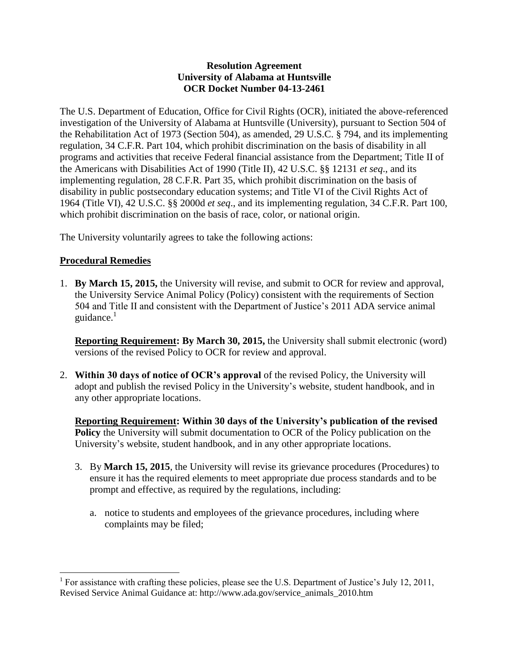## **Resolution Agreement University of Alabama at Huntsville OCR Docket Number 04-13-2461**

The U.S. Department of Education, Office for Civil Rights (OCR), initiated the above-referenced investigation of the University of Alabama at Huntsville (University), pursuant to Section 504 of the Rehabilitation Act of 1973 (Section 504), as amended, 29 U.S.C. § 794, and its implementing regulation, 34 C.F.R. Part 104, which prohibit discrimination on the basis of disability in all programs and activities that receive Federal financial assistance from the Department; Title II of the Americans with Disabilities Act of 1990 (Title II), 42 U.S.C. §§ 12131 *et seq*., and its implementing regulation, 28 C.F.R. Part 35, which prohibit discrimination on the basis of disability in public postsecondary education systems; and Title VI of the Civil Rights Act of 1964 (Title VI), 42 U.S.C. §§ 2000d *et seq*., and its implementing regulation, 34 C.F.R. Part 100, which prohibit discrimination on the basis of race, color, or national origin.

The University voluntarily agrees to take the following actions:

## **Procedural Remedies**

 $\overline{\phantom{a}}$ 

1. **By March 15, 2015,** the University will revise, and submit to OCR for review and approval, the University Service Animal Policy (Policy) consistent with the requirements of Section 504 and Title II and consistent with the Department of Justice's 2011 ADA service animal guidance. $1$ 

**Reporting Requirement: By March 30, 2015, the University shall submit electronic (word)** versions of the revised Policy to OCR for review and approval.

2. **Within 30 days of notice of OCR's approval** of the revised Policy, the University will adopt and publish the revised Policy in the University's website, student handbook, and in any other appropriate locations.

**Reporting Requirement: Within 30 days of the University's publication of the revised Policy** the University will submit documentation to OCR of the Policy publication on the University's website, student handbook, and in any other appropriate locations.

- 3. By **March 15, 2015**, the University will revise its grievance procedures (Procedures) to ensure it has the required elements to meet appropriate due process standards and to be prompt and effective, as required by the regulations, including:
	- a. notice to students and employees of the grievance procedures, including where complaints may be filed;

<sup>&</sup>lt;sup>1</sup> For assistance with crafting these policies, please see the U.S. Department of Justice's July 12, 2011, Revised Service Animal Guidance at: http://www.ada.gov/service\_animals\_2010.htm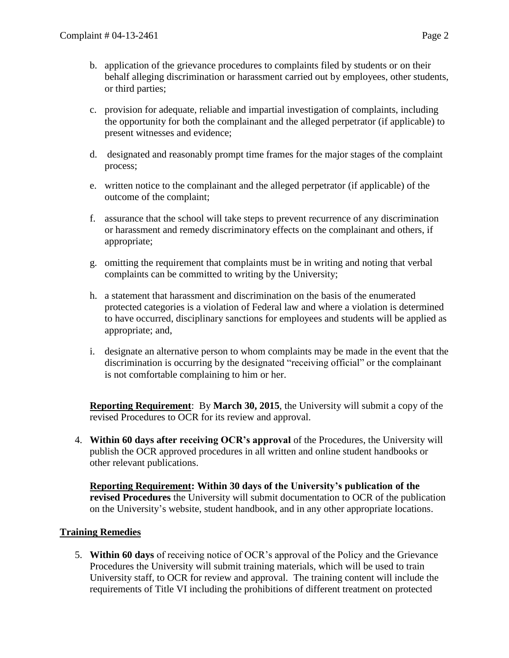- b. application of the grievance procedures to complaints filed by students or on their behalf alleging discrimination or harassment carried out by employees, other students, or third parties;
- c. provision for adequate, reliable and impartial investigation of complaints, including the opportunity for both the complainant and the alleged perpetrator (if applicable) to present witnesses and evidence;
- d. designated and reasonably prompt time frames for the major stages of the complaint process;
- e. written notice to the complainant and the alleged perpetrator (if applicable) of the outcome of the complaint;
- f. assurance that the school will take steps to prevent recurrence of any discrimination or harassment and remedy discriminatory effects on the complainant and others, if appropriate;
- g. omitting the requirement that complaints must be in writing and noting that verbal complaints can be committed to writing by the University;
- h. a statement that harassment and discrimination on the basis of the enumerated protected categories is a violation of Federal law and where a violation is determined to have occurred, disciplinary sanctions for employees and students will be applied as appropriate; and,
- i. designate an alternative person to whom complaints may be made in the event that the discrimination is occurring by the designated "receiving official" or the complainant is not comfortable complaining to him or her.

**Reporting Requirement**: By **March 30, 2015**, the University will submit a copy of the revised Procedures to OCR for its review and approval.

4. **Within 60 days after receiving OCR's approval** of the Procedures, the University will publish the OCR approved procedures in all written and online student handbooks or other relevant publications.

**Reporting Requirement: Within 30 days of the University's publication of the revised Procedures** the University will submit documentation to OCR of the publication on the University's website, student handbook, and in any other appropriate locations.

## **Training Remedies**

5. **Within 60 days** of receiving notice of OCR's approval of the Policy and the Grievance Procedures the University will submit training materials, which will be used to train University staff, to OCR for review and approval. The training content will include the requirements of Title VI including the prohibitions of different treatment on protected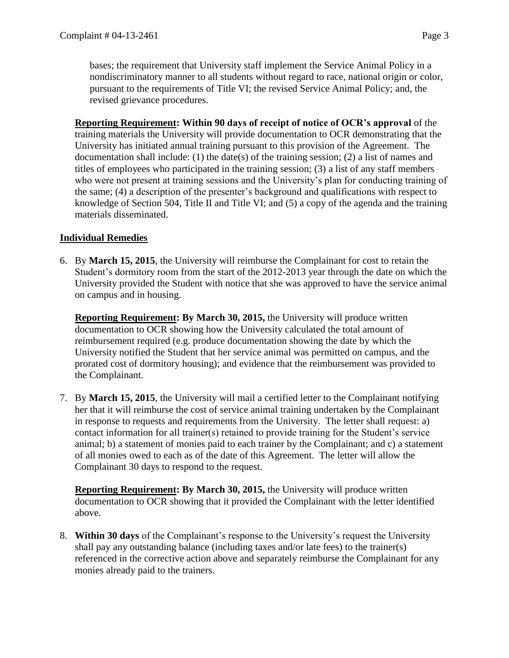bases; the requirement that University staff implement the Service Animal Policy in a nondiscriminatory manner to all students without regard to race, national origin or color, pursuant to the requirements of Title VI; the revised Service Animal Policy; and, the revised grievance procedures.

**Reporting Requirement: Within 90 days of receipt of notice of OCR's approval** of the training materials the University will provide documentation to OCR demonstrating that the University has initiated annual training pursuant to this provision of the Agreement. The documentation shall include: (1) the date(s) of the training session; (2) a list of names and titles of employees who participated in the training session; (3) a list of any staff members who were not present at training sessions and the University's plan for conducting training of the same; (4) a description of the presenter's background and qualifications with respect to knowledge of Section 504, Title II and Title VI; and (5) a copy of the agenda and the training materials disseminated.

## **Individual Remedies**

6. By **March 15, 2015**, the University will reimburse the Complainant for cost to retain the Student's dormitory room from the start of the 2012-2013 year through the date on which the University provided the Student with notice that she was approved to have the service animal on campus and in housing.

**Reporting Requirement: By March 30, 2015,** the University will produce written documentation to OCR showing how the University calculated the total amount of reimbursement required (e.g. produce documentation showing the date by which the University notified the Student that her service animal was permitted on campus, and the prorated cost of dormitory housing); and evidence that the reimbursement was provided to the Complainant.

7. By **March 15, 2015**, the University will mail a certified letter to the Complainant notifying her that it will reimburse the cost of service animal training undertaken by the Complainant in response to requests and requirements from the University. The letter shall request: a) contact information for all trainer(s) retained to provide training for the Student's service animal; b) a statement of monies paid to each trainer by the Complainant; and c) a statement of all monies owed to each as of the date of this Agreement. The letter will allow the Complainant 30 days to respond to the request.

**Reporting Requirement: By March 30, 2015,** the University will produce written documentation to OCR showing that it provided the Complainant with the letter identified above.

8. **Within 30 days** of the Complainant's response to the University's request the University shall pay any outstanding balance (including taxes and/or late fees) to the trainer(s) referenced in the corrective action above and separately reimburse the Complainant for any monies already paid to the trainers.